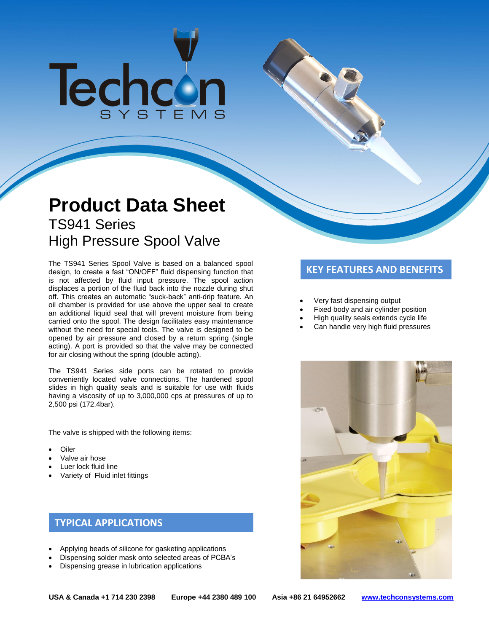# Techcon

# **Product Data Sheet** TS941 Series High Pressure Spool Valve

The TS941 Series Spool Valve is based on a balanced spool **The TS941 Series Spool Constant Constant**<br>design, to create a fast "ON/OFF" fluid dispensing function that **The VELTE REATURES AND BENEFITS** is not affected by fluid input pressure. The spool action displaces a portion of the fluid back into the nozzle during shut off. This creates an automatic "suck-back" anti-drip feature. An oil chamber is provided for use above the upper seal to create an additional liquid seal that will prevent moisture from being carried onto the spool. The design facilitates easy maintenance without the need for special tools. The valve is designed to be opened by air pressure and closed by a return spring (single acting). A port is provided so that the valve may be connected for air closing without the spring (double acting).

The TS941 Series side ports can be rotated to provide conveniently located valve connections. The hardened spool slides in high quality seals and is suitable for use with fluids having a viscosity of up to 3,000,000 cps at pressures of up to 2,500 psi (172.4bar).

The valve is shipped with the following items:

- Oiler
- Valve air hose
- Luer lock fluid line
- Variety of Fluid inlet fittings

# **TYPICAL APPLICATIONS**

- Applying beads of silicone for gasketing applications
- Dispensing solder mask onto selected areas of PCBA's
- Dispensing grease in lubrication applications

- Very fast dispensing output
- Fixed body and air cylinder position
- High quality seals extends cycle life
- Can handle very high fluid pressures